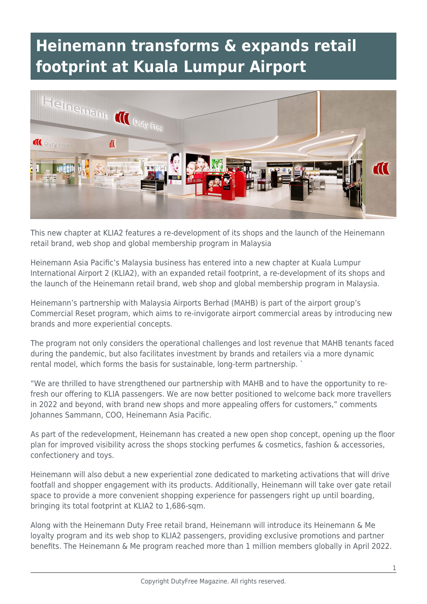## **Heinemann transforms & expands retail footprint at Kuala Lumpur Airport**



This new chapter at KLIA2 features a re-development of its shops and the launch of the Heinemann retail brand, web shop and global membership program in Malaysia

Heinemann Asia Pacific's Malaysia business has entered into a new chapter at Kuala Lumpur International Airport 2 (KLIA2), with an expanded retail footprint, a re-development of its shops and the launch of the Heinemann retail brand, web shop and global membership program in Malaysia.

Heinemann's partnership with Malaysia Airports Berhad (MAHB) is part of the airport group's Commercial Reset program, which aims to re-invigorate airport commercial areas by introducing new brands and more experiential concepts.

The program not only considers the operational challenges and lost revenue that MAHB tenants faced during the pandemic, but also facilitates investment by brands and retailers via a more dynamic rental model, which forms the basis for sustainable, long-term partnership. `

"We are thrilled to have strengthened our partnership with MAHB and to have the opportunity to refresh our offering to KLIA passengers. We are now better positioned to welcome back more travellers in 2022 and beyond, with brand new shops and more appealing offers for customers," comments Johannes Sammann, COO, Heinemann Asia Pacific.

As part of the redevelopment, Heinemann has created a new open shop concept, opening up the floor plan for improved visibility across the shops stocking perfumes & cosmetics, fashion & accessories, confectionery and toys.

Heinemann will also debut a new experiential zone dedicated to marketing activations that will drive footfall and shopper engagement with its products. Additionally, Heinemann will take over gate retail space to provide a more convenient shopping experience for passengers right up until boarding, bringing its total footprint at KLIA2 to 1,686-sqm.

Along with the Heinemann Duty Free retail brand, Heinemann will introduce its Heinemann & Me loyalty program and its web shop to KLIA2 passengers, providing exclusive promotions and partner benefits. The Heinemann & Me program reached more than 1 million members globally in April 2022.